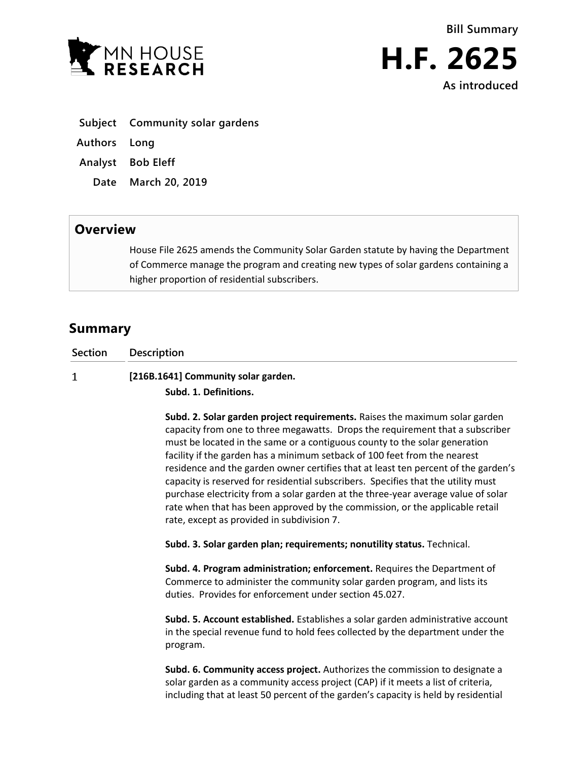



- **Subject Community solar gardens**
- **Authors Long**
- **Analyst Bob Eleff**
	- **Date March 20, 2019**

## **Overview**

House File 2625 amends the Community Solar Garden statute by having the Department of Commerce manage the program and creating new types of solar gardens containing a higher proportion of residential subscribers.

# **Summary**

**Section Description**  $\mathbf{1}$ **[216B.1641] Community solar garden.**

**Subd. 1. Definitions.**

**Subd. 2. Solar garden project requirements.** Raises the maximum solar garden capacity from one to three megawatts. Drops the requirement that a subscriber must be located in the same or a contiguous county to the solar generation facility if the garden has a minimum setback of 100 feet from the nearest residence and the garden owner certifies that at least ten percent of the garden's capacity is reserved for residential subscribers. Specifies that the utility must purchase electricity from a solar garden at the three-year average value of solar rate when that has been approved by the commission, or the applicable retail rate, except as provided in subdivision 7.

**Subd. 3. Solar garden plan; requirements; nonutility status.** Technical.

**Subd. 4. Program administration; enforcement.** Requires the Department of Commerce to administer the community solar garden program, and lists its duties. Provides for enforcement under section 45.027.

**Subd. 5. Account established.** Establishes a solar garden administrative account in the special revenue fund to hold fees collected by the department under the program.

**Subd. 6. Community access project.** Authorizes the commission to designate a solar garden as a community access project (CAP) if it meets a list of criteria, including that at least 50 percent of the garden's capacity is held by residential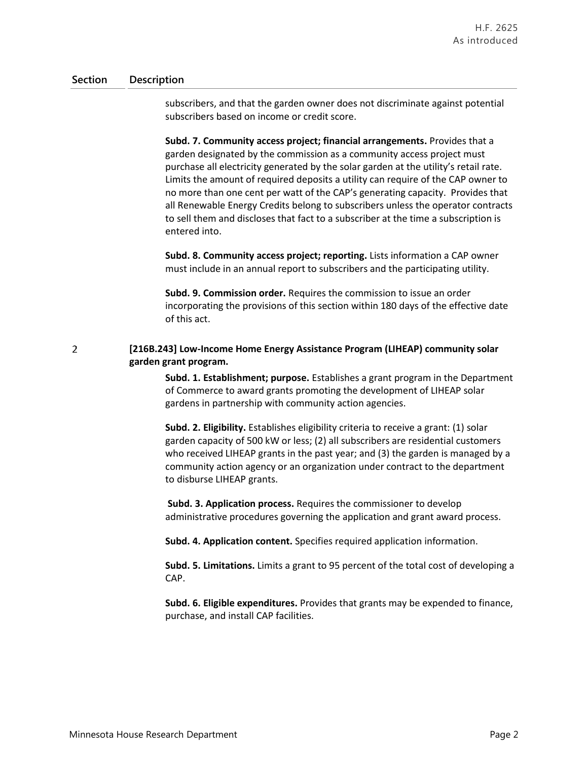### **Section Description**

subscribers, and that the garden owner does not discriminate against potential subscribers based on income or credit score.

**Subd. 7. Community access project; financial arrangements.** Provides that a garden designated by the commission as a community access project must purchase all electricity generated by the solar garden at the utility's retail rate. Limits the amount of required deposits a utility can require of the CAP owner to no more than one cent per watt of the CAP's generating capacity. Provides that all Renewable Energy Credits belong to subscribers unless the operator contracts to sell them and discloses that fact to a subscriber at the time a subscription is entered into.

**Subd. 8. Community access project; reporting.** Lists information a CAP owner must include in an annual report to subscribers and the participating utility.

**Subd. 9. Commission order.** Requires the commission to issue an order incorporating the provisions of this section within 180 days of the effective date of this act.

### $\overline{2}$ **[216B.243] Low-Income Home Energy Assistance Program (LIHEAP) community solar garden grant program.**

**Subd. 1. Establishment; purpose.** Establishes a grant program in the Department of Commerce to award grants promoting the development of LIHEAP solar gardens in partnership with community action agencies.

**Subd. 2. Eligibility.** Establishes eligibility criteria to receive a grant: (1) solar garden capacity of 500 kW or less; (2) all subscribers are residential customers who received LIHEAP grants in the past year; and (3) the garden is managed by a community action agency or an organization under contract to the department to disburse LIHEAP grants.

**Subd. 3. Application process.** Requires the commissioner to develop administrative procedures governing the application and grant award process.

**Subd. 4. Application content.** Specifies required application information.

**Subd. 5. Limitations.** Limits a grant to 95 percent of the total cost of developing a CAP.

**Subd. 6. Eligible expenditures.** Provides that grants may be expended to finance, purchase, and install CAP facilities.